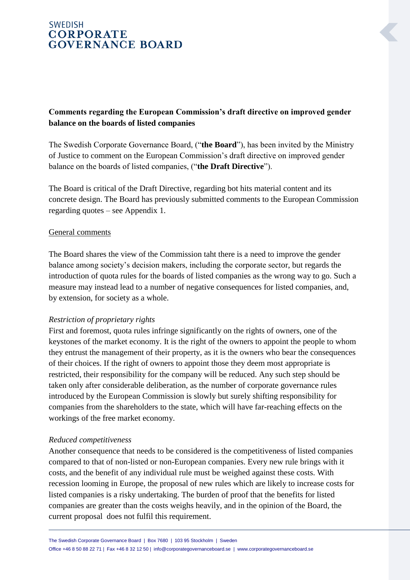# **SWEDISH CORPORATE GOVERNANCE BOARD**

# **Comments regarding the European Commission's draft directive on improved gender balance on the boards of listed companies**

The Swedish Corporate Governance Board, ("**the Board**"), has been invited by the Ministry of Justice to comment on the European Commission's draft directive on improved gender balance on the boards of listed companies, ("**the Draft Directive**").

The Board is critical of the Draft Directive, regarding bot hits material content and its concrete design. The Board has previously submitted comments to the European Commission regarding quotes – see Appendix 1.

### General comments

The Board shares the view of the Commission taht there is a need to improve the gender balance among society's decision makers, including the corporate sector, but regards the introduction of quota rules for the boards of listed companies as the wrong way to go. Such a measure may instead lead to a number of negative consequences for listed companies, and, by extension, for society as a whole.

### *Restriction of proprietary rights*

First and foremost, quota rules infringe significantly on the rights of owners, one of the keystones of the market economy. It is the right of the owners to appoint the people to whom they entrust the management of their property, as it is the owners who bear the consequences of their choices. If the right of owners to appoint those they deem most appropriate is restricted, their responsibility for the company will be reduced. Any such step should be taken only after considerable deliberation, as the number of corporate governance rules introduced by the European Commission is slowly but surely shifting responsibility for companies from the shareholders to the state, which will have far-reaching effects on the workings of the free market economy.

#### *Reduced competitiveness*

Another consequence that needs to be considered is the competitiveness of listed companies compared to that of non-listed or non-European companies. Every new rule brings with it costs, and the benefit of any individual rule must be weighed against these costs. With recession looming in Europe, the proposal of new rules which are likely to increase costs for listed companies is a risky undertaking. The burden of proof that the benefits for listed companies are greater than the costs weighs heavily, and in the opinion of the Board, the current proposal does not fulfil this requirement.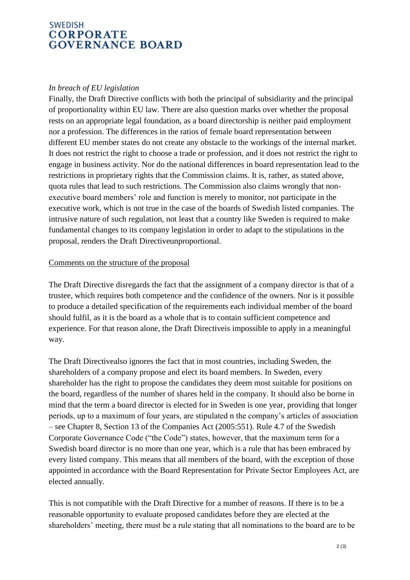## **SWEDISH CORPORATE GOVERNANCE BOARD**

### *In breach of EU legislation*

Finally, the Draft Directive conflicts with both the principal of subsidiarity and the principal of proportionality within EU law. There are also question marks over whether the proposal rests on an appropriate legal foundation, as a board directorship is neither paid employment nor a profession. The differences in the ratios of female board representation between different EU member states do not create any obstacle to the workings of the internal market. It does not restrict the right to choose a trade or profession, and it does not restrict the right to engage in business activity. Nor do the national differences in board representation lead to the restrictions in proprietary rights that the Commission claims. It is, rather, as stated above, quota rules that lead to such restrictions. The Commission also claims wrongly that nonexecutive board members' role and function is merely to monitor, not participate in the executive work, which is not true in the case of the boards of Swedish listed companies. The intrusive nature of such regulation, not least that a country like Sweden is required to make fundamental changes to its company legislation in order to adapt to the stipulations in the proposal, renders the Draft Directiveunproportional.

### Comments on the structure of the proposal

The Draft Directive disregards the fact that the assignment of a company director is that of a trustee, which requires both competence and the confidence of the owners. Nor is it possible to produce a detailed specification of the requirements each individual member of the board should fulfil, as it is the board as a whole that is to contain sufficient competence and experience. For that reason alone, the Draft Directiveis impossible to apply in a meaningful way.

The Draft Directivealso ignores the fact that in most countries, including Sweden, the shareholders of a company propose and elect its board members. In Sweden, every shareholder has the right to propose the candidates they deem most suitable for positions on the board, regardless of the number of shares held in the company. It should also be borne in mind that the term a board director is elected for in Sweden is one year, providing that longer periods, up to a maximum of four years, are stipulated n the company's articles of association – see Chapter 8, Section 13 of the Companies Act (2005:551). Rule 4.7 of the Swedish Corporate Governance Code ("the Code") states, however, that the maximum term for a Swedish board director is no more than one year, which is a rule that has been embraced by every listed company. This means that all members of the board, with the exception of those appointed in accordance with the Board Representation for Private Sector Employees Act, are elected annually.

This is not compatible with the Draft Directive for a number of reasons. If there is to be a reasonable opportunity to evaluate proposed candidates before they are elected at the shareholders' meeting, there must be a rule stating that all nominations to the board are to be